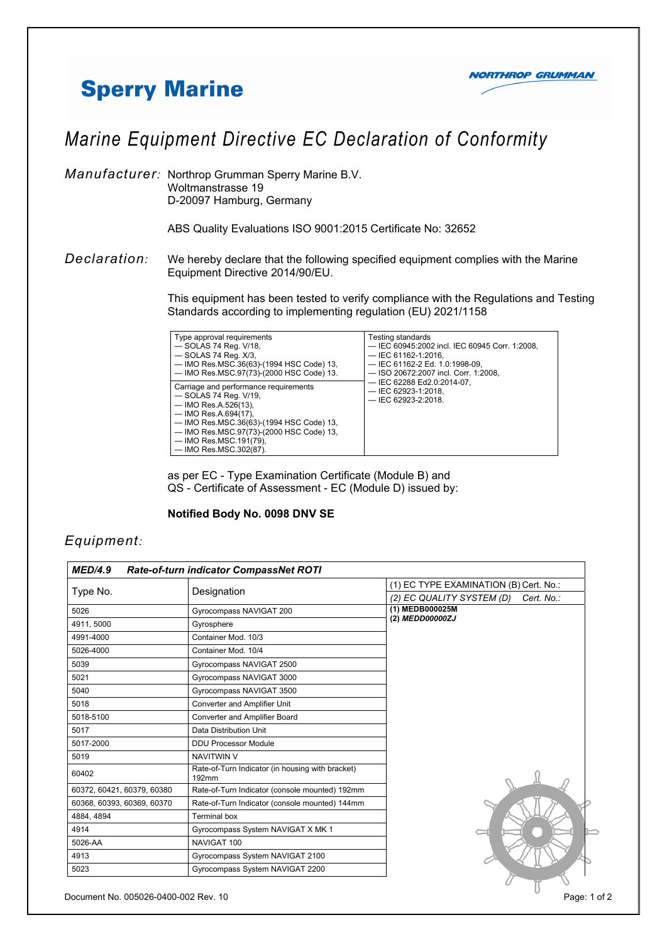## **Sperry Marine**



## *Marine Equipment Directive EC Declaration of Conformity*

*Manufacturer:* Northrop Grumman Sperry Marine B.V. Woltmanstrasse 19 D-20097 Hamburg, Germany

ABS Quality Evaluations ISO 9001:2015 Certificate No: 32652

*Declaration:* We hereby declare that the following specified equipment complies with the Marine Equipment Directive 2014/90/EU.

> This equipment has been tested to verify compliance with the Regulations and Testing Standards according to implementing regulation (EU) 2021/1158

| Type approval requirements<br>$-$ SOLAS 74 Req. V/18,<br>$-$ SOLAS 74 Req. $X/3$ ,<br>— IMO Res.MSC.36(63)-(1994 HSC Code) 13,<br>- IMO Res.MSC.97(73)-(2000 HSC Code) 13.                                                                                        | Testing standards<br>- IEC 60945:2002 incl. IEC 60945 Corr. 1:2008,<br>$-$ IEC 61162-1:2016.<br>- IEC 61162-2 Ed. 1.0:1998-09,<br>- ISO 20672:2007 incl. Corr. 1:2008. |
|-------------------------------------------------------------------------------------------------------------------------------------------------------------------------------------------------------------------------------------------------------------------|------------------------------------------------------------------------------------------------------------------------------------------------------------------------|
| Carriage and performance requirements<br>$-$ SOLAS 74 Req. $V/19$ .<br>— IMO Res.A.526(13),<br>$-$ IMO Res.A.694(17),<br>- IMO Res.MSC.36(63)-(1994 HSC Code) 13,<br>- IMO Res.MSC.97(73)-(2000 HSC Code) 13,<br>— IMO Res.MSC.191(79),<br>- IMO Res.MSC.302(87). | $-$ IEC 62288 Ed2.0:2014-07,<br>$-$ IEC 62923-1:2018,<br>$-$ IEC 62923-2:2018.                                                                                         |

 as per EC - Type Examination Certificate (Module B) and QS - Certificate of Assessment - EC (Module D) issued by:

## **Notified Body No. 0098 DNV SE**

## *Equipment:*

| <b>MED/4.9</b>             | Rate-of-turn indicator CompassNet ROTI                    |                                         |
|----------------------------|-----------------------------------------------------------|-----------------------------------------|
|                            | Designation                                               | (1) EC TYPE EXAMINATION (B) Cert. No.:  |
| Type No.                   |                                                           | (2) EC QUALITY SYSTEM (D)<br>Cert. No.: |
| 5026                       | Gyrocompass NAVIGAT 200                                   | (1) MEDB000025M<br>(2) MEDD00000ZJ      |
| 4911, 5000                 | Gyrosphere                                                |                                         |
| 4991-4000                  | Container Mod. 10/3                                       |                                         |
| 5026-4000                  | Container Mod. 10/4                                       |                                         |
| 5039                       | Gyrocompass NAVIGAT 2500                                  |                                         |
| 5021                       | Gyrocompass NAVIGAT 3000                                  |                                         |
| 5040                       | Gyrocompass NAVIGAT 3500                                  |                                         |
| 5018                       | Converter and Amplifier Unit                              |                                         |
| 5018-5100                  | Converter and Amplifier Board                             |                                         |
| 5017                       | Data Distribution Unit                                    |                                         |
| 5017-2000                  | <b>DDU Processor Module</b>                               |                                         |
| 5019                       | <b>NAVITWIN V</b>                                         |                                         |
| 60402                      | Rate-of-Turn Indicator (in housing with bracket)<br>192mm |                                         |
| 60372, 60421, 60379, 60380 | Rate-of-Turn Indicator (console mounted) 192mm            |                                         |
| 60368, 60393, 60369, 60370 | Rate-of-Turn Indicator (console mounted) 144mm            |                                         |
| 4884, 4894                 | <b>Terminal box</b>                                       |                                         |
| 4914                       | Gyrocompass System NAVIGAT X MK 1                         |                                         |
| 5026-AA                    | NAVIGAT 100                                               |                                         |
| 4913                       | Gyrocompass System NAVIGAT 2100                           |                                         |
| 5023                       | Gyrocompass System NAVIGAT 2200                           |                                         |